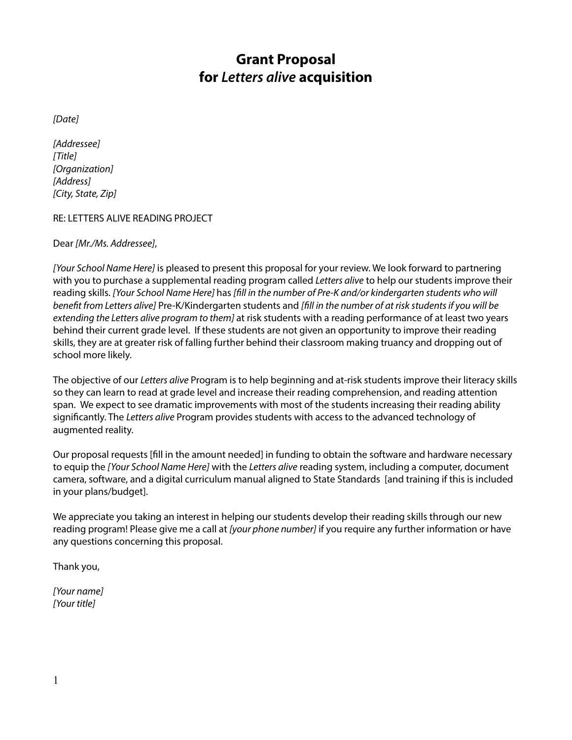# **Grant Proposal for** *Letters alive* **acquisition**

*[Date]*

*[Addressee] [Title] [Organization] [Address] [City, State, Zip]*

RE: LETTERS ALIVE READING PROJECT

Dear *[Mr./Ms. Addressee]*,

*[Your School Name Here]* is pleased to present this proposal for your review. We look forward to partnering with you to purchase a supplemental reading program called *Letters alive* to help our students improve their reading skills. *[Your School Name Here]* has *[fill in the number of Pre-K and/or kindergarten students who will benefit from Letters alive]* Pre-K/Kindergarten students and *[fill in the number of at risk students if you will be extending the Letters alive program to them]* at risk students with a reading performance of at least two years behind their current grade level. If these students are not given an opportunity to improve their reading skills, they are at greater risk of falling further behind their classroom making truancy and dropping out of school more likely.

The objective of our *Letters alive* Program is to help beginning and at-risk students improve their literacy skills so they can learn to read at grade level and increase their reading comprehension, and reading attention span. We expect to see dramatic improvements with most of the students increasing their reading ability significantly. The *Letters alive* Program provides students with access to the advanced technology of augmented reality.

Our proposal requests [fill in the amount needed] in funding to obtain the software and hardware necessary to equip the *[Your School Name Here]* with the *Letters alive* reading system, including a computer, document camera, software, and a digital curriculum manual aligned to State Standards [and training if this is included in your plans/budget].

We appreciate you taking an interest in helping our students develop their reading skills through our new reading program! Please give me a call at *[your phone number]* if you require any further information or have any questions concerning this proposal.

Thank you,

*[Your name] [Your title]*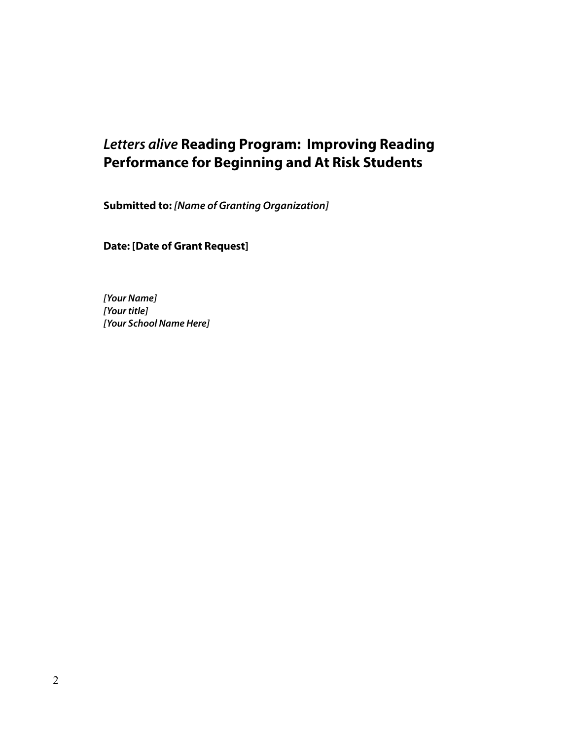# *Letters alive* **Reading Program: Improving Reading Performance for Beginning and At Risk Students**

**Submitted to:** *[Name of Granting Organization]*

**Date: [Date of Grant Request]**

*[Your Name] [Your title] [Your School Name Here]*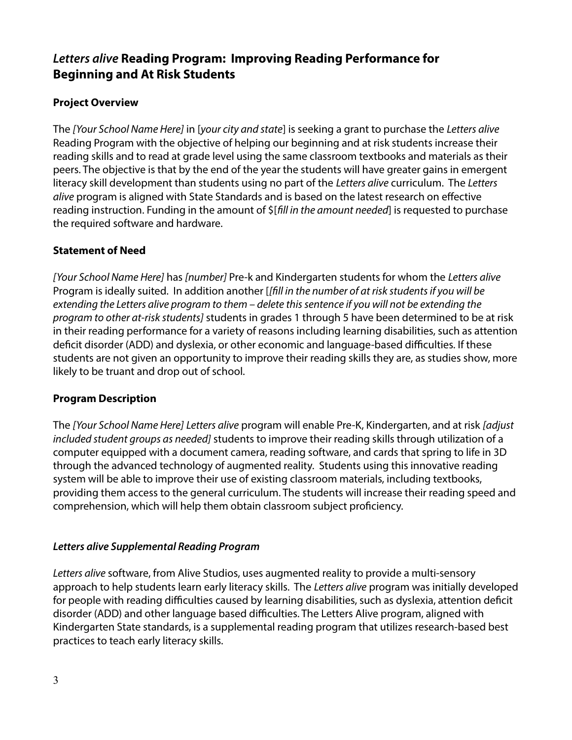# *Letters alive* **Reading Program: Improving Reading Performance for Beginning and At Risk Students**

## **Project Overview**

The *[Your School Name Here]* in [*your city and state*] is seeking a grant to purchase the *Letters alive* Reading Program with the objective of helping our beginning and at risk students increase their reading skills and to read at grade level using the same classroom textbooks and materials as their peers. The objective is that by the end of the year the students will have greater gains in emergent literacy skill development than students using no part of the *Letters alive* curriculum. The *Letters alive* program is aligned with State Standards and is based on the latest research on effective reading instruction. Funding in the amount of \$[*fill in the amount needed*] is requested to purchase the required software and hardware.

## **Statement of Need**

*[Your School Name Here]* has *[number]* Pre-k and Kindergarten students for whom the *Letters alive* Program is ideally suited. In addition another [*[fill in the number of at risk students if you will be extending the Letters alive program to them – delete this sentence if you will not be extending the program to other at-risk students]* students in grades 1 through 5 have been determined to be at risk in their reading performance for a variety of reasons including learning disabilities, such as attention deficit disorder (ADD) and dyslexia, or other economic and language-based difficulties. If these students are not given an opportunity to improve their reading skills they are, as studies show, more likely to be truant and drop out of school.

## **Program Description**

The *[Your School Name Here] Letters alive* program will enable Pre-K, Kindergarten, and at risk *[adjust included student groups as needed]* students to improve their reading skills through utilization of a computer equipped with a document camera, reading software, and cards that spring to life in 3D through the advanced technology of augmented reality. Students using this innovative reading system will be able to improve their use of existing classroom materials, including textbooks, providing them access to the general curriculum. The students will increase their reading speed and comprehension, which will help them obtain classroom subject proficiency.

## *Letters alive Supplemental Reading Program*

*Letters alive* software, from Alive Studios, uses augmented reality to provide a multi-sensory approach to help students learn early literacy skills. The *Letters alive* program was initially developed for people with reading difficulties caused by learning disabilities, such as dyslexia, attention deficit disorder (ADD) and other language based difficulties. The Letters Alive program, aligned with Kindergarten State standards, is a supplemental reading program that utilizes research-based best practices to teach early literacy skills.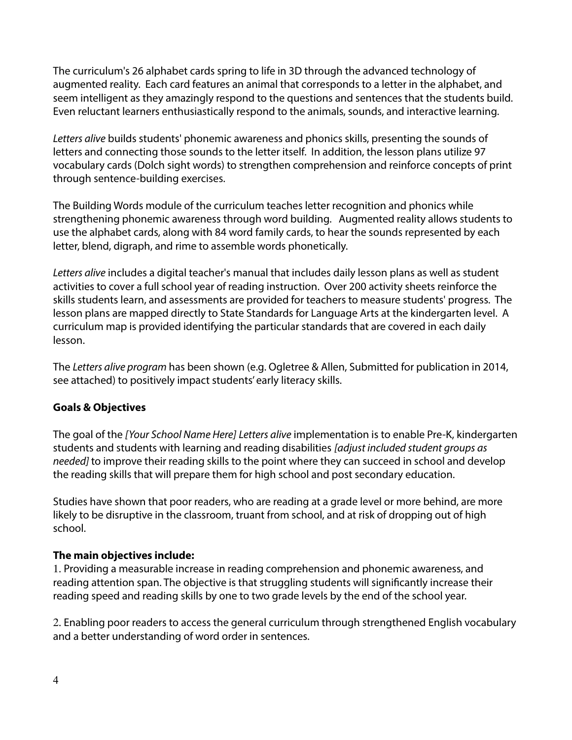The curriculum's 26 alphabet cards spring to life in 3D through the advanced technology of augmented reality. Each card features an animal that corresponds to a letter in the alphabet, and seem intelligent as they amazingly respond to the questions and sentences that the students build. Even reluctant learners enthusiastically respond to the animals, sounds, and interactive learning.

*Letters alive* builds students' phonemic awareness and phonics skills, presenting the sounds of letters and connecting those sounds to the letter itself. In addition, the lesson plans utilize 97 vocabulary cards (Dolch sight words) to strengthen comprehension and reinforce concepts of print through sentence-building exercises.

The Building Words module of the curriculum teaches letter recognition and phonics while strengthening phonemic awareness through word building. Augmented reality allows students to use the alphabet cards, along with 84 word family cards, to hear the sounds represented by each letter, blend, digraph, and rime to assemble words phonetically.

*Letters alive* includes a digital teacher's manual that includes daily lesson plans as well as student activities to cover a full school year of reading instruction. Over 200 activity sheets reinforce the skills students learn, and assessments are provided for teachers to measure students' progress. The lesson plans are mapped directly to State Standards for Language Arts at the kindergarten level. A curriculum map is provided identifying the particular standards that are covered in each daily lesson.

The *Letters alive program* has been shown (e.g. Ogletree & Allen, Submitted for publication in 2014, see attached) to positively impact students' early literacy skills.

## **Goals & Objectives**

The goal of the *[Your School Name Here] Letters alive* implementation is to enable Pre-K, kindergarten students and students with learning and reading disabilities *[adjust included student groups as needed]* to improve their reading skills to the point where they can succeed in school and develop the reading skills that will prepare them for high school and post secondary education.

Studies have shown that poor readers, who are reading at a grade level or more behind, are more likely to be disruptive in the classroom, truant from school, and at risk of dropping out of high school.

## **The main objectives include:**

1. Providing a measurable increase in reading comprehension and phonemic awareness, and reading attention span. The objective is that struggling students will significantly increase their reading speed and reading skills by one to two grade levels by the end of the school year.

2. Enabling poor readers to access the general curriculum through strengthened English vocabulary and a better understanding of word order in sentences.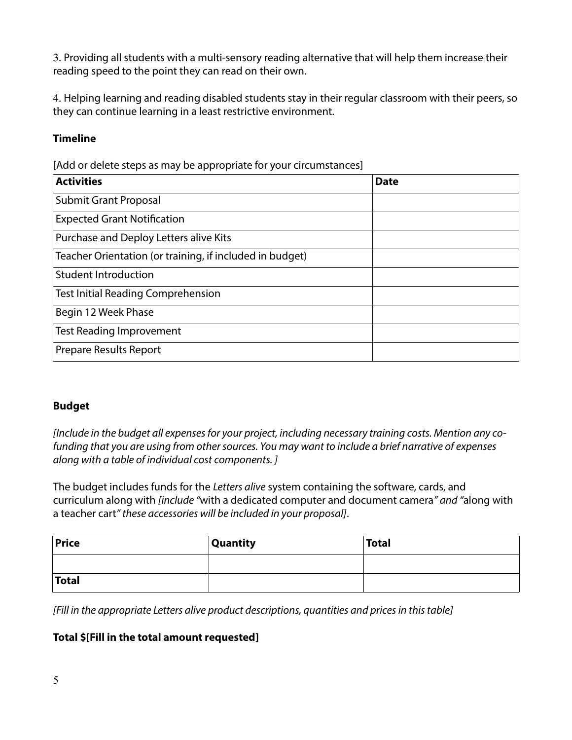3. Providing all students with a multi-sensory reading alternative that will help them increase their reading speed to the point they can read on their own.

4. Helping learning and reading disabled students stay in their regular classroom with their peers, so they can continue learning in a least restrictive environment.

# **Timeline**

[Add or delete steps as may be appropriate for your circumstances]

| <b>Activities</b>                                        | <b>Date</b> |
|----------------------------------------------------------|-------------|
| <b>Submit Grant Proposal</b>                             |             |
| <b>Expected Grant Notification</b>                       |             |
| Purchase and Deploy Letters alive Kits                   |             |
| Teacher Orientation (or training, if included in budget) |             |
| <b>Student Introduction</b>                              |             |
| <b>Test Initial Reading Comprehension</b>                |             |
| Begin 12 Week Phase                                      |             |
| <b>Test Reading Improvement</b>                          |             |
| <b>Prepare Results Report</b>                            |             |

## **Budget**

*[Include in the budget all expenses for your project, including necessary training costs. Mention any cofunding that you are using from other sources. You may want to include a brief narrative of expenses along with a table of individual cost components. ]*

The budget includes funds for the *Letters alive* system containing the software, cards, and curriculum along with *[include "*with a dedicated computer and document camera*" and "*along with a teacher cart*" these accessories will be included in your proposal]*.

| Price        | <b>Quantity</b> | <b>Total</b> |
|--------------|-----------------|--------------|
|              |                 |              |
| <b>Total</b> |                 |              |

*[Fill in the appropriate Letters alive product descriptions, quantities and prices in this table]*

## **Total \$[Fill in the total amount requested]**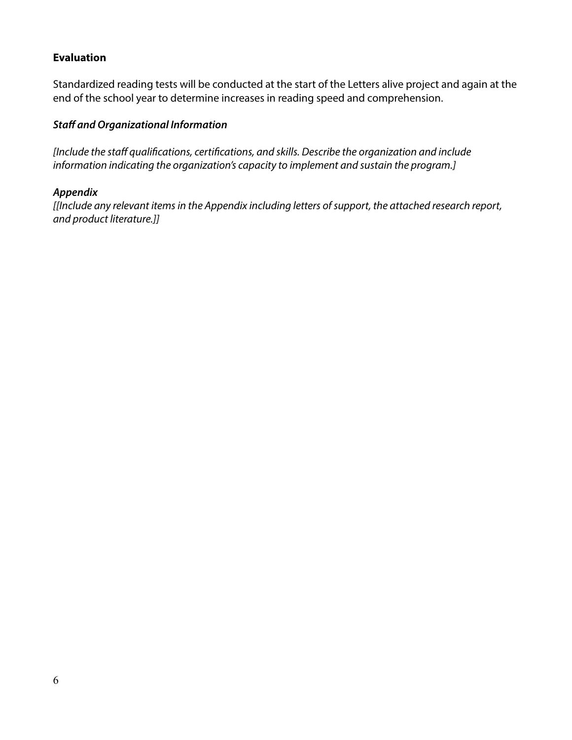## **Evaluation**

Standardized reading tests will be conducted at the start of the Letters alive project and again at the end of the school year to determine increases in reading speed and comprehension.

# *Staff and Organizational Information*

*[Include the staff qualifications, certifications, and skills. Describe the organization and include information indicating the organization's capacity to implement and sustain the program.]*

## *Appendix*

*[[Include any relevant items in the Appendix including letters of support, the attached research report, and product literature.]]*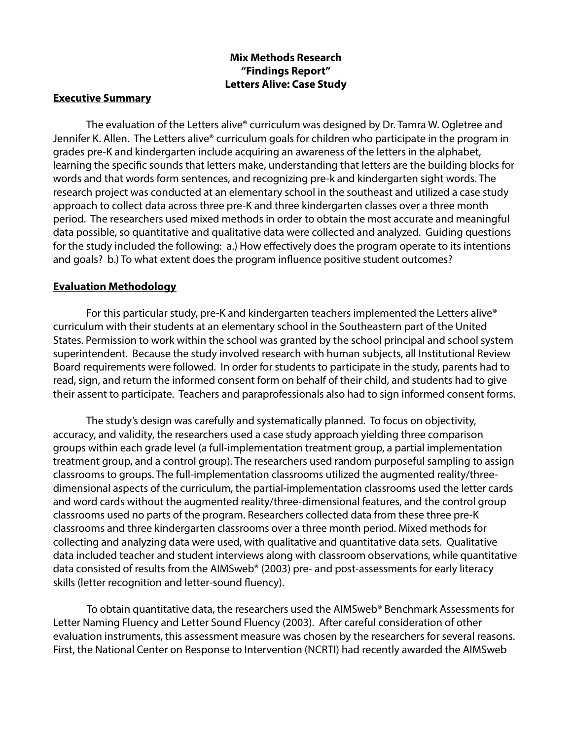## **Mix Methods Research "Findings Report" Letters Alive: Case Study**

#### **Executive Summary**

The evaluation of the Letters alive® curriculum was designed by Dr. Tamra W. Ogletree and Jennifer K. Allen. The Letters alive® curriculum goals for children who participate in the program in grades pre-K and kindergarten include acquiring an awareness of the letters in the alphabet, learning the specific sounds that letters make, understanding that letters are the building blocks for words and that words form sentences, and recognizing pre-k and kindergarten sight words. The research project was conducted at an elementary school in the southeast and utilized a case study approach to collect data across three pre-K and three kindergarten classes over a three month period. The researchers used mixed methods in order to obtain the most accurate and meaningful data possible, so quantitative and qualitative data were collected and analyzed. Guiding questions for the study included the following: a.) How effectively does the program operate to its intentions and goals? b.) To what extent does the program influence positive student outcomes?

#### **Evaluation Methodology**

For this particular study, pre-K and kindergarten teachers implemented the Letters alive® curriculum with their students at an elementary school in the Southeastern part of the United States. Permission to work within the school was granted by the school principal and school system superintendent. Because the study involved research with human subjects, all Institutional Review Board requirements were followed. In order for students to participate in the study, parents had to read, sign, and return the informed consent form on behalf of their child, and students had to give their assent to participate. Teachers and paraprofessionals also had to sign informed consent forms.

The study's design was carefully and systematically planned. To focus on objectivity, accuracy, and validity, the researchers used a case study approach yielding three comparison groups within each grade level (a full-implementation treatment group, a partial implementation treatment group, and a control group). The researchers used random purposeful sampling to assign classrooms to groups. The full-implementation classrooms utilized the augmented reality/threedimensional aspects of the curriculum, the partial-implementation classrooms used the letter cards and word cards without the augmented reality/three-dimensional features, and the control group classrooms used no parts of the program. Researchers collected data from these three pre-K classrooms and three kindergarten classrooms over a three month period. Mixed methods for collecting and analyzing data were used, with qualitative and quantitative data sets. Qualitative data included teacher and student interviews along with classroom observations, while quantitative data consisted of results from the AIMSweb® (2003) pre- and post-assessments for early literacy skills (letter recognition and letter-sound fluency).

To obtain quantitative data, the researchers used the AIMSweb® Benchmark Assessments for Letter Naming Fluency and Letter Sound Fluency (2003). After careful consideration of other evaluation instruments, this assessment measure was chosen by the researchers for several reasons. First, the National Center on Response to Intervention (NCRTI) had recently awarded the AIMSweb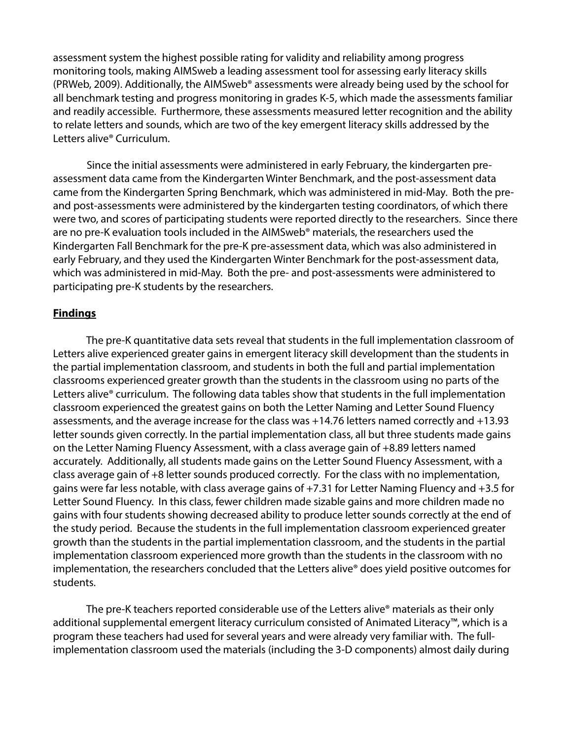assessment system the highest possible rating for validity and reliability among progress monitoring tools, making AIMSweb a leading assessment tool for assessing early literacy skills (PRWeb, 2009). Additionally, the AIMSweb® assessments were already being used by the school for all benchmark testing and progress monitoring in grades K-5, which made the assessments familiar and readily accessible. Furthermore, these assessments measured letter recognition and the ability to relate letters and sounds, which are two of the key emergent literacy skills addressed by the Letters alive® Curriculum.

Since the initial assessments were administered in early February, the kindergarten preassessment data came from the Kindergarten Winter Benchmark, and the post-assessment data came from the Kindergarten Spring Benchmark, which was administered in mid-May. Both the preand post-assessments were administered by the kindergarten testing coordinators, of which there were two, and scores of participating students were reported directly to the researchers. Since there are no pre-K evaluation tools included in the AIMSweb<sup>®</sup> materials, the researchers used the Kindergarten Fall Benchmark for the pre-K pre-assessment data, which was also administered in early February, and they used the Kindergarten Winter Benchmark for the post-assessment data, which was administered in mid-May. Both the pre- and post-assessments were administered to participating pre-K students by the researchers.

#### **Findings**

The pre-K quantitative data sets reveal that students in the full implementation classroom of Letters alive experienced greater gains in emergent literacy skill development than the students in the partial implementation classroom, and students in both the full and partial implementation classrooms experienced greater growth than the students in the classroom using no parts of the Letters alive<sup>®</sup> curriculum. The following data tables show that students in the full implementation classroom experienced the greatest gains on both the Letter Naming and Letter Sound Fluency assessments, and the average increase for the class was +14.76 letters named correctly and +13.93 letter sounds given correctly. In the partial implementation class, all but three students made gains on the Letter Naming Fluency Assessment, with a class average gain of +8.89 letters named accurately. Additionally, all students made gains on the Letter Sound Fluency Assessment, with a class average gain of +8 letter sounds produced correctly. For the class with no implementation, gains were far less notable, with class average gains of +7.31 for Letter Naming Fluency and +3.5 for Letter Sound Fluency. In this class, fewer children made sizable gains and more children made no gains with four students showing decreased ability to produce letter sounds correctly at the end of the study period. Because the students in the full implementation classroom experienced greater growth than the students in the partial implementation classroom, and the students in the partial implementation classroom experienced more growth than the students in the classroom with no implementation, the researchers concluded that the Letters alive® does yield positive outcomes for students.

The pre-K teachers reported considerable use of the Letters alive® materials as their only additional supplemental emergent literacy curriculum consisted of Animated Literacy™, which is a program these teachers had used for several years and were already very familiar with. The fullimplementation classroom used the materials (including the 3-D components) almost daily during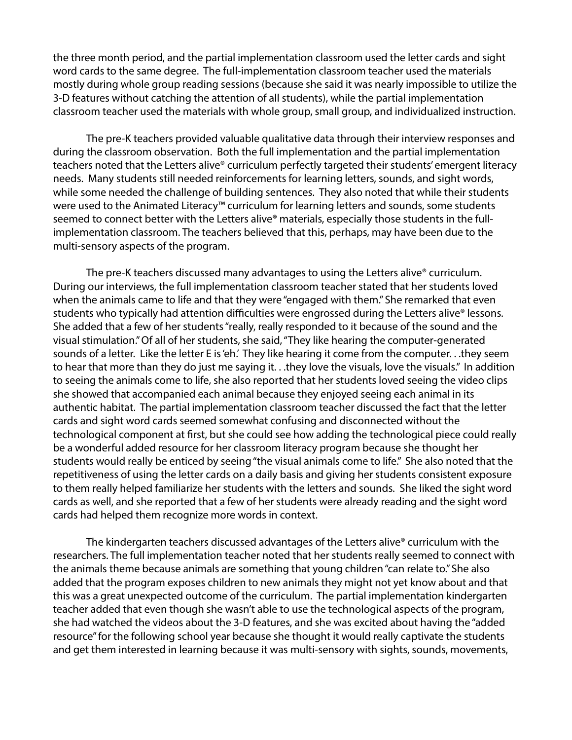the three month period, and the partial implementation classroom used the letter cards and sight word cards to the same degree. The full-implementation classroom teacher used the materials mostly during whole group reading sessions (because she said it was nearly impossible to utilize the 3-D features without catching the attention of all students), while the partial implementation classroom teacher used the materials with whole group, small group, and individualized instruction.

The pre-K teachers provided valuable qualitative data through their interview responses and during the classroom observation. Both the full implementation and the partial implementation teachers noted that the Letters alive® curriculum perfectly targeted their students' emergent literacy needs. Many students still needed reinforcements for learning letters, sounds, and sight words, while some needed the challenge of building sentences. They also noted that while their students were used to the Animated Literacy™ curriculum for learning letters and sounds, some students seemed to connect better with the Letters alive<sup>®</sup> materials, especially those students in the fullimplementation classroom. The teachers believed that this, perhaps, may have been due to the multi-sensory aspects of the program.

The pre-K teachers discussed many advantages to using the Letters alive® curriculum. During our interviews, the full implementation classroom teacher stated that her students loved when the animals came to life and that they were "engaged with them." She remarked that even students who typically had attention difficulties were engrossed during the Letters alive® lessons. She added that a few of her students "really, really responded to it because of the sound and the visual stimulation." Of all of her students, she said, "They like hearing the computer-generated sounds of a letter. Like the letter E is 'eh.' They like hearing it come from the computer. . .they seem to hear that more than they do just me saying it. . .they love the visuals, love the visuals." In addition to seeing the animals come to life, she also reported that her students loved seeing the video clips she showed that accompanied each animal because they enjoyed seeing each animal in its authentic habitat. The partial implementation classroom teacher discussed the fact that the letter cards and sight word cards seemed somewhat confusing and disconnected without the technological component at first, but she could see how adding the technological piece could really be a wonderful added resource for her classroom literacy program because she thought her students would really be enticed by seeing "the visual animals come to life." She also noted that the repetitiveness of using the letter cards on a daily basis and giving her students consistent exposure to them really helped familiarize her students with the letters and sounds. She liked the sight word cards as well, and she reported that a few of her students were already reading and the sight word cards had helped them recognize more words in context.

The kindergarten teachers discussed advantages of the Letters alive® curriculum with the researchers. The full implementation teacher noted that her students really seemed to connect with the animals theme because animals are something that young children "can relate to." She also added that the program exposes children to new animals they might not yet know about and that this was a great unexpected outcome of the curriculum. The partial implementation kindergarten teacher added that even though she wasn't able to use the technological aspects of the program, she had watched the videos about the 3-D features, and she was excited about having the "added resource" for the following school year because she thought it would really captivate the students and get them interested in learning because it was multi-sensory with sights, sounds, movements,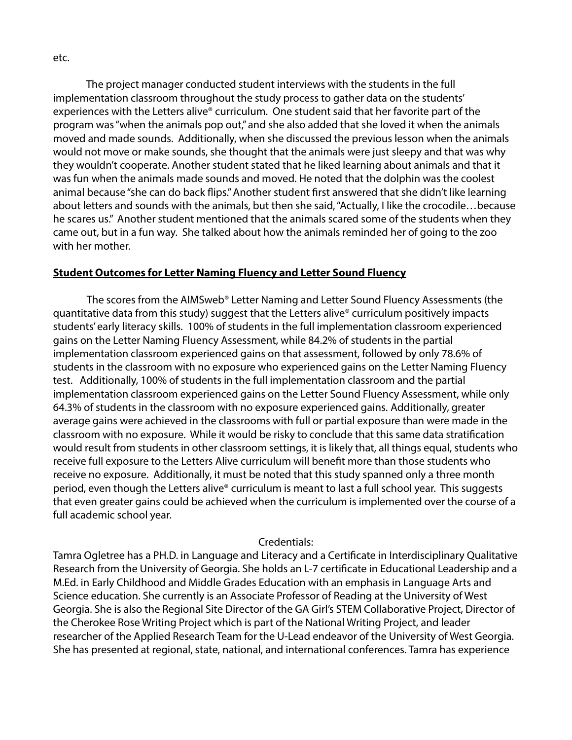The project manager conducted student interviews with the students in the full implementation classroom throughout the study process to gather data on the students' experiences with the Letters alive® curriculum. One student said that her favorite part of the program was "when the animals pop out," and she also added that she loved it when the animals moved and made sounds. Additionally, when she discussed the previous lesson when the animals would not move or make sounds, she thought that the animals were just sleepy and that was why they wouldn't cooperate. Another student stated that he liked learning about animals and that it was fun when the animals made sounds and moved. He noted that the dolphin was the coolest

animal because "she can do back flips." Another student first answered that she didn't like learning about letters and sounds with the animals, but then she said, "Actually, I like the crocodile…because he scares us." Another student mentioned that the animals scared some of the students when they came out, but in a fun way. She talked about how the animals reminded her of going to the zoo with her mother.

## **Student Outcomes for Letter Naming Fluency and Letter Sound Fluency**

The scores from the AIMSweb® Letter Naming and Letter Sound Fluency Assessments (the quantitative data from this study) suggest that the Letters alive® curriculum positively impacts students' early literacy skills. 100% of students in the full implementation classroom experienced gains on the Letter Naming Fluency Assessment, while 84.2% of students in the partial implementation classroom experienced gains on that assessment, followed by only 78.6% of students in the classroom with no exposure who experienced gains on the Letter Naming Fluency test. Additionally, 100% of students in the full implementation classroom and the partial implementation classroom experienced gains on the Letter Sound Fluency Assessment, while only 64.3% of students in the classroom with no exposure experienced gains. Additionally, greater average gains were achieved in the classrooms with full or partial exposure than were made in the classroom with no exposure. While it would be risky to conclude that this same data stratification would result from students in other classroom settings, it is likely that, all things equal, students who receive full exposure to the Letters Alive curriculum will benefit more than those students who receive no exposure. Additionally, it must be noted that this study spanned only a three month period, even though the Letters alive® curriculum is meant to last a full school year. This suggests that even greater gains could be achieved when the curriculum is implemented over the course of a full academic school year.

#### Credentials:

Tamra Ogletree has a PH.D. in Language and Literacy and a Certificate in Interdisciplinary Qualitative Research from the University of Georgia. She holds an L-7 certificate in Educational Leadership and a M.Ed. in Early Childhood and Middle Grades Education with an emphasis in Language Arts and Science education. She currently is an Associate Professor of Reading at the University of West Georgia. She is also the Regional Site Director of the GA Girl's STEM Collaborative Project, Director of the Cherokee Rose Writing Project which is part of the National Writing Project, and leader researcher of the Applied Research Team for the U-Lead endeavor of the University of West Georgia. She has presented at regional, state, national, and international conferences. Tamra has experience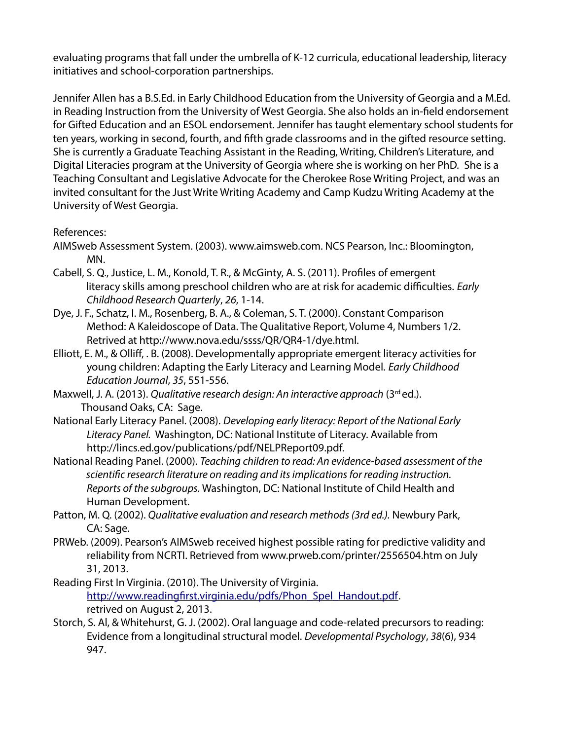evaluating programs that fall under the umbrella of K-12 curricula, educational leadership, literacy initiatives and school-corporation partnerships.

Jennifer Allen has a B.S.Ed. in Early Childhood Education from the University of Georgia and a M.Ed. in Reading Instruction from the University of West Georgia. She also holds an in-field endorsement for Gifted Education and an ESOL endorsement. Jennifer has taught elementary school students for ten years, working in second, fourth, and fifth grade classrooms and in the gifted resource setting. She is currently a Graduate Teaching Assistant in the Reading, Writing, Children's Literature, and Digital Literacies program at the University of Georgia where she is working on her PhD. She is a Teaching Consultant and Legislative Advocate for the Cherokee Rose Writing Project, and was an invited consultant for the Just Write Writing Academy and Camp Kudzu Writing Academy at the University of West Georgia.

## References:

- AIMSweb Assessment System. (2003). www.aimsweb.com. NCS Pearson, Inc.: Bloomington, MN.
- Cabell, S. Q., Justice, L. M., Konold, T. R., & McGinty, A. S. (2011). Profiles of emergent literacy skills among preschool children who are at risk for academic difficulties. *Early Childhood Research Quarterly*, *26*, 1-14.
- Dye, J. F., Schatz, I. M., Rosenberg, B. A., & Coleman, S. T. (2000). Constant Comparison Method: A Kaleidoscope of Data. The Qualitative Report, Volume 4, Numbers 1/2. Retrived at http://www.nova.edu/ssss/QR/QR4-1/dye.html.
- Elliott, E. M., & Olliff, . B. (2008). Developmentally appropriate emergent literacy activities for young children: Adapting the Early Literacy and Learning Model. *Early Childhood Education Journal*, *35*, 551-556.
- Maxwell, J. A. (2013). *Qualitative research design: An interactive approach* (3rd ed.). Thousand Oaks, CA: Sage.
- National Early Literacy Panel. (2008). *Developing early literacy: Report of the National Early Literacy Panel.* Washington, DC: National Institute of Literacy. Available from http://lincs.ed.gov/publications/pdf/NELPReport09.pdf.
- National Reading Panel. (2000). *Teaching children to read: An evidence-based assessment of the scientific research literature on reading and its implications for reading instruction. Reports of the subgroups.* Washington, DC: National Institute of Child Health and Human Development.
- Patton, M. Q. (2002). *Qualitative evaluation and research methods (3rd ed.).* Newbury Park, CA: Sage.
- PRWeb. (2009). Pearson's AIMSweb received highest possible rating for predictive validity and reliability from NCRTI. Retrieved from www.prweb.com/printer/2556504.htm on July 31, 2013.
- Reading First In Virginia. (2010). The University of Virginia. http://www.readingfirst.virginia.edu/pdfs/Phon\_Spel\_Handout.pdf. retrived on August 2, 2013.
- Storch, S. Al, & Whitehurst, G. J. (2002). Oral language and code-related precursors to reading: Evidence from a longitudinal structural model. *Developmental Psychology*, *38*(6), 934 947.